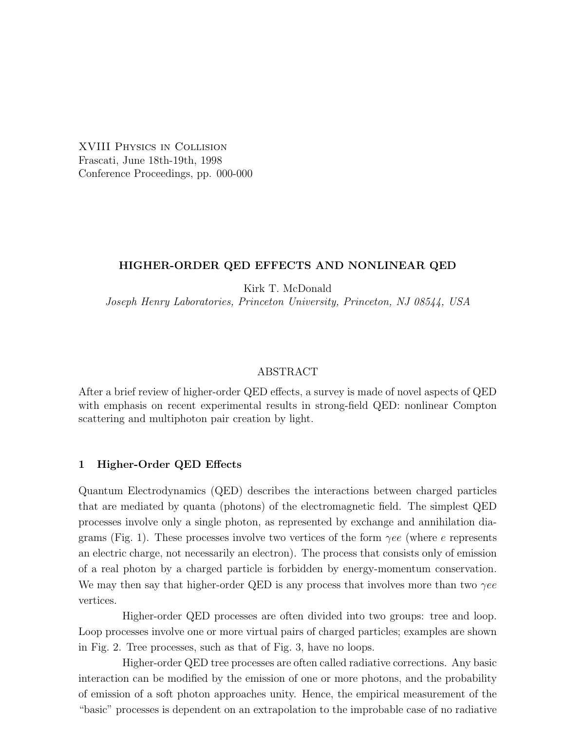XVIII Physics in Collision Frascati, June 18th-19th, 1998 Conference Proceedings, pp. 000-000

### HIGHER-ORDER QED EFFECTS AND NONLINEAR QED

Kirk T. McDonald Joseph Henry Laboratories, Princeton University, Princeton, NJ 08544, USA

### ABSTRACT

After a brief review of higher-order QED effects, a survey is made of novel aspects of QED with emphasis on recent experimental results in strong-field QED: nonlinear Compton scattering and multiphoton pair creation by light.

### 1 Higher-Order QED Effects

Quantum Electrodynamics (QED) describes the interactions between charged particles that are mediated by quanta (photons) of the electromagnetic field. The simplest QED processes involve only a single photon, as represented by exchange and annihilation diagrams (Fig. 1). These processes involve two vertices of the form  $\gamma ee$  (where e represents an electric charge, not necessarily an electron). The process that consists only of emission of a real photon by a charged particle is forbidden by energy-momentum conservation. We may then say that higher-order QED is any process that involves more than two  $\gamma ee$ vertices.

Higher-order QED processes are often divided into two groups: tree and loop. Loop processes involve one or more virtual pairs of charged particles; examples are shown in Fig. 2. Tree processes, such as that of Fig. 3, have no loops.

Higher-order QED tree processes are often called radiative corrections. Any basic interaction can be modified by the emission of one or more photons, and the probability of emission of a soft photon approaches unity. Hence, the empirical measurement of the "basic" processes is dependent on an extrapolation to the improbable case of no radiative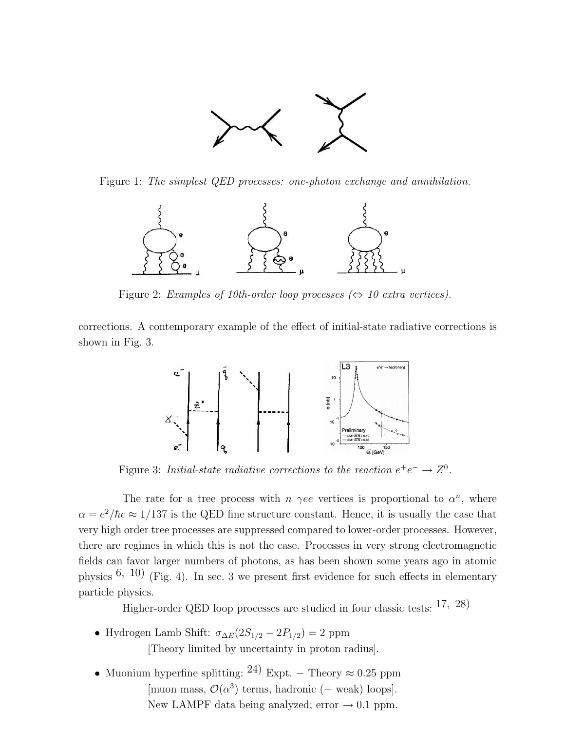

Figure 1: The simplest QED processes: one-photon exchange and annihilation.



Figure 2: Examples of 10th-order loop processes  $(\Leftrightarrow 10 \text{ extra vertices}).$ 

corrections. A contemporary example of the effect of initial-state radiative corrections is shown in Fig. 3.



Figure 3: Initial-state radiative corrections to the reaction  $e^+e^- \rightarrow Z^0$ .

The rate for a tree process with  $n \gamma ee$  vertices is proportional to  $\alpha^n$ , where  $\alpha = e^2/\hbar c \approx 1/137$  is the QED fine structure constant. Hence, it is usually the case that very high order tree processes are suppressed compared to lower-order processes. However, there are regimes in which this is not the case. Processes in very strong electromagnetic fields can favor larger numbers of photons, as has been shown some years ago in atomic physics  $(6, 10)$  (Fig. 4). In sec. 3 we present first evidence for such effects in elementary particle physics.

Higher-order QED loop processes are studied in four classic tests: 17, 28)

- Hydrogen Lamb Shift:  $\sigma_{\Delta E}(2S_{1/2} 2P_{1/2}) = 2$  ppm [Theory limited by uncertainty in proton radius].
- Muonium hyperfine splitting: <sup>24)</sup> Expt. Theory  $\approx 0.25$  ppm [muon mass,  $\mathcal{O}(\alpha^3)$  terms, hadronic (+ weak) loops]. New LAMPF data being analyzed; error  $\rightarrow$  0.1 ppm.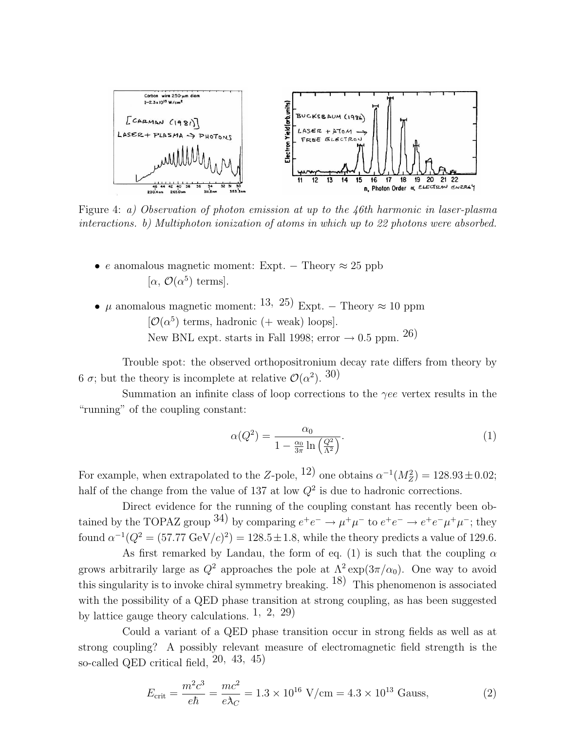

Figure 4: a) Observation of photon emission at up to the 46th harmonic in laser-plasma interactions. b) Multiphoton ionization of atoms in which up to 22 photons were absorbed.

- e anomalous magnetic moment: Expt. Theory  $\approx 25$  ppb [ $\alpha$ ,  $\mathcal{O}(\alpha^5)$  terms].
- $\mu$  anomalous magnetic moment: <sup>13, 25</sup>) Expt. Theory  $\approx 10$  ppm  $[O(\alpha^5)$  terms, hadronic (+ weak) loops]. New BNL expt. starts in Fall 1998; error  $\rightarrow$  0.5 ppm. 26)

Trouble spot: the observed orthopositronium decay rate differs from theory by 6  $\sigma$ ; but the theory is incomplete at relative  $\mathcal{O}(\alpha^2)$ . 30)

Summation an infinite class of loop corrections to the  $\gamma ee$  vertex results in the "running" of the coupling constant:

$$
\alpha(Q^2) = \frac{\alpha_0}{1 - \frac{\alpha_0}{3\pi} \ln\left(\frac{Q^2}{\Lambda^2}\right)}.\tag{1}
$$

For example, when extrapolated to the Z-pole,  $12)$  one obtains  $\alpha^{-1}(M_Z^2) = 128.93 \pm 0.02$ ; half of the change from the value of 137 at low  $Q^2$  is due to hadronic corrections.

Direct evidence for the running of the coupling constant has recently been obtained by the TOPAZ group  $(34)$  by comparing  $e^+e^- \to \mu^+\mu^-$  to  $e^+e^- \to e^+e^-\mu^+\mu^-$ ; they found  $\alpha^{-1}(Q^2 = (57.77 \text{ GeV}/c)^2) = 128.5 \pm 1.8$ , while the theory predicts a value of 129.6.

As first remarked by Landau, the form of eq. (1) is such that the coupling  $\alpha$ grows arbitrarily large as  $Q^2$  approaches the pole at  $\Lambda^2 \exp(3\pi/\alpha_0)$ . One way to avoid this singularity is to invoke chiral symmetry breaking.  $18$ ) This phenomenon is associated with the possibility of a QED phase transition at strong coupling, as has been suggested by lattice gauge theory calculations. 1, 2, 29)

Could a variant of a QED phase transition occur in strong fields as well as at strong coupling? A possibly relevant measure of electromagnetic field strength is the so-called QED critical field, 20, 43, 45)

$$
E_{\text{crit}} = \frac{m^2 c^3}{e\hbar} = \frac{mc^2}{e\lambda_C} = 1.3 \times 10^{16} \text{ V/cm} = 4.3 \times 10^{13} \text{ Gauss},\tag{2}
$$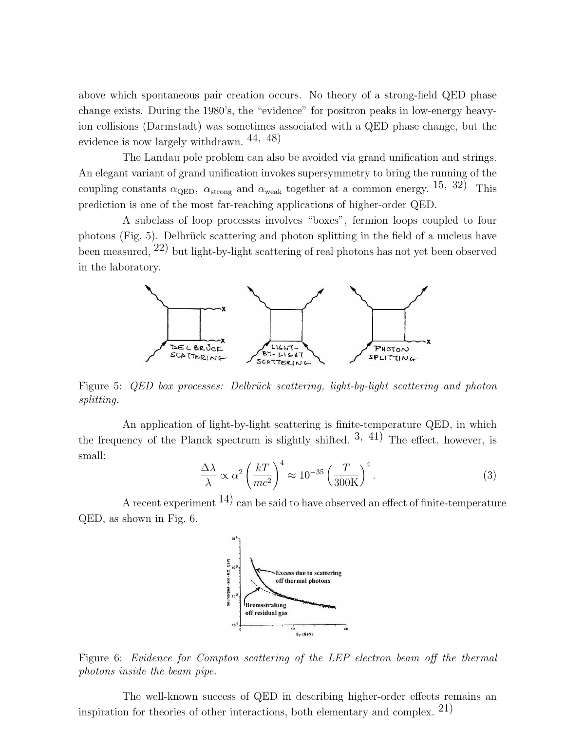above which spontaneous pair creation occurs. No theory of a strong-field QED phase change exists. During the 1980's, the "evidence" for positron peaks in low-energy heavyion collisions (Darmstadt) was sometimes associated with a QED phase change, but the evidence is now largely withdrawn.  $44, 48$ )

The Landau pole problem can also be avoided via grand unification and strings. An elegant variant of grand unification invokes supersymmetry to bring the running of the coupling constants  $\alpha_{\text{QED}}$ ,  $\alpha_{\text{strong}}$  and  $\alpha_{\text{weak}}$  together at a common energy. 15, 32) This prediction is one of the most far-reaching applications of higher-order QED.

A subclass of loop processes involves "boxes", fermion loops coupled to four photons (Fig. 5). Delbrück scattering and photon splitting in the field of a nucleus have been measured, 22) but light-by-light scattering of real photons has not yet been observed in the laboratory.



Figure 5: *QED* box processes: Delbrück scattering, light-by-light scattering and photon splitting.

An application of light-by-light scattering is finite-temperature QED, in which the frequency of the Planck spectrum is slightly shifted.  $3, 41$ ) The effect, however, is small:  $\overline{a}$  $\sqrt{4}$ 

$$
\frac{\Delta\lambda}{\lambda} \propto \alpha^2 \left(\frac{kT}{mc^2}\right)^4 \approx 10^{-35} \left(\frac{T}{300\text{K}}\right)^4.
$$
 (3)

A recent experiment  $14$ ) can be said to have observed an effect of finite-temperature QED, as shown in Fig. 6.



Figure 6: Evidence for Compton scattering of the LEP electron beam off the thermal photons inside the beam pipe.

The well-known success of QED in describing higher-order effects remains an inspiration for theories of other interactions, both elementary and complex.  $21$ )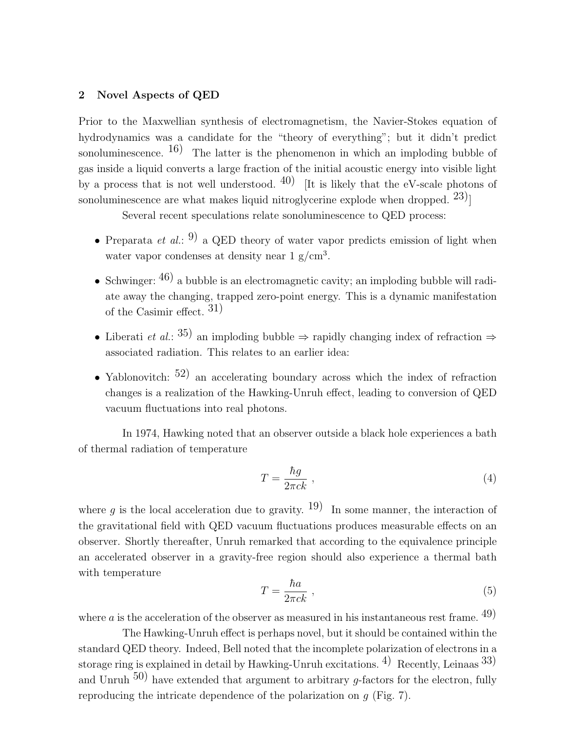## 2 Novel Aspects of QED

Prior to the Maxwellian synthesis of electromagnetism, the Navier-Stokes equation of hydrodynamics was a candidate for the "theory of everything"; but it didn't predict sonoluminescence.  $(16)$  The latter is the phenomenon in which an imploding bubble of gas inside a liquid converts a large fraction of the initial acoustic energy into visible light by a process that is not well understood.  $40$  [It is likely that the eV-scale photons of sonoluminescence are what makes liquid nitroglycerine explode when dropped.  $23$ ]

Several recent speculations relate sonoluminescence to QED process:

- Preparata *et al.*: <sup>9</sup>) a QED theory of water vapor predicts emission of light when water vapor condenses at density near  $1 \text{ g/cm}^3$ .
- Schwinger:  $(46)$  a bubble is an electromagnetic cavity; an imploding bubble will radiate away the changing, trapped zero-point energy. This is a dynamic manifestation of the Casimir effect.  $31$ )
- Liberati *et al.*: <sup>35</sup>) an imploding bubble  $\Rightarrow$  rapidly changing index of refraction  $\Rightarrow$ associated radiation. This relates to an earlier idea:
- Yablonovitch:  $52)$  an accelerating boundary across which the index of refraction changes is a realization of the Hawking-Unruh effect, leading to conversion of QED vacuum fluctuations into real photons.

In 1974, Hawking noted that an observer outside a black hole experiences a bath of thermal radiation of temperature

$$
T = \frac{\hbar g}{2\pi c k} \tag{4}
$$

where q is the local acceleration due to gravity. <sup>19</sup> In some manner, the interaction of the gravitational field with QED vacuum fluctuations produces measurable effects on an observer. Shortly thereafter, Unruh remarked that according to the equivalence principle an accelerated observer in a gravity-free region should also experience a thermal bath with temperature

$$
T = \frac{\hbar a}{2\pi ck} \t{5}
$$

where  $a$  is the acceleration of the observer as measured in his instantaneous rest frame. <sup>49</sup>)

The Hawking-Unruh effect is perhaps novel, but it should be contained within the standard QED theory. Indeed, Bell noted that the incomplete polarization of electrons in a storage ring is explained in detail by Hawking-Unruh excitations. <sup>4)</sup> Recently, Leinaas  $33$ ) and Unruh  $50$ ) have extended that argument to arbitrary q-factors for the electron, fully reproducing the intricate dependence of the polarization on  $g$  (Fig. 7).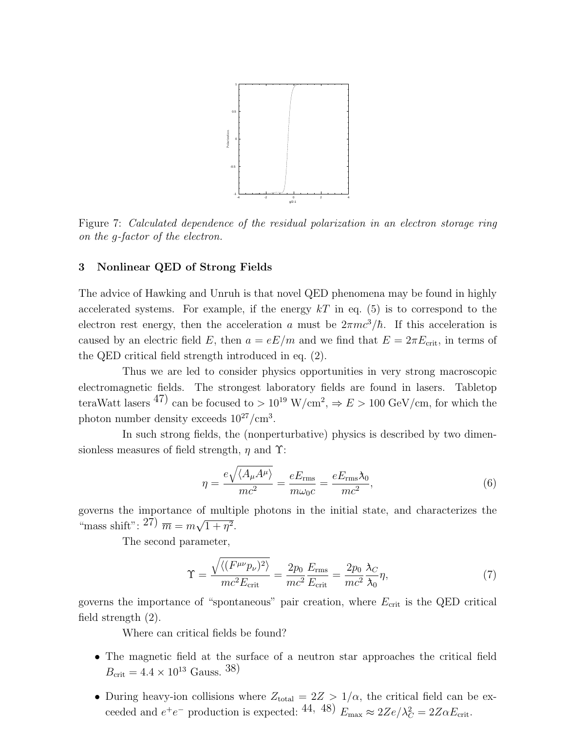

Figure 7: Calculated dependence of the residual polarization in an electron storage ring on the g-factor of the electron.

### 3 Nonlinear QED of Strong Fields

The advice of Hawking and Unruh is that novel QED phenomena may be found in highly accelerated systems. For example, if the energy  $kT$  in eq. (5) is to correspond to the electron rest energy, then the acceleration a must be  $2\pi mc^3/\hbar$ . If this acceleration is caused by an electric field E, then  $a = eE/m$  and we find that  $E = 2\pi E_{\rm crit}$ , in terms of the QED critical field strength introduced in eq. (2).

Thus we are led to consider physics opportunities in very strong macroscopic electromagnetic fields. The strongest laboratory fields are found in lasers. Tabletop teraWatt lasers <sup>47</sup> can be focused to  $> 10^{19}$  W/cm<sup>2</sup>,  $\Rightarrow E > 100$  GeV/cm, for which the photon number density exceeds  $10^{27}/\text{cm}^3$ .

In such strong fields, the (nonperturbative) physics is described by two dimensionless measures of field strength,  $\eta$  and  $\Upsilon$ :

$$
\eta = \frac{e\sqrt{\langle A_{\mu}A^{\mu}\rangle}}{mc^2} = \frac{eE_{\rm rms}}{m\omega_0 c} = \frac{eE_{\rm rms}\lambda_0}{mc^2},\tag{6}
$$

governs the importance of multiple photons in the initial state, and characterizes the "mass shift":  $27 \overline{m} = m \sqrt{m}$  $1 + \eta^2$ .

The second parameter,

$$
\Upsilon = \frac{\sqrt{\langle (F^{\mu\nu}p_{\nu})^2 \rangle}}{mc^2 E_{\text{crit}}} = \frac{2p_0}{mc^2} \frac{E_{\text{rms}}}{E_{\text{crit}}} = \frac{2p_0}{mc^2} \frac{\lambda_C}{\lambda_0} \eta,
$$
\n(7)

governs the importance of "spontaneous" pair creation, where  $E_{\text{crit}}$  is the QED critical field strength (2).

Where can critical fields be found?

- The magnetic field at the surface of a neutron star approaches the critical field  $B_{\text{crit}} = 4.4 \times 10^{13} \text{ Gauss. }^{38}$
- During heavy-ion collisions where  $Z_{\text{total}} = 2Z > 1/\alpha$ , the critical field can be exceeded and  $e^+e^-$  production is expected: <sup>44, 48</sup>)  $E_{\text{max}} \approx 2Ze/\lambda_C^2 = 2Z\alpha E_{\text{crit}}$ .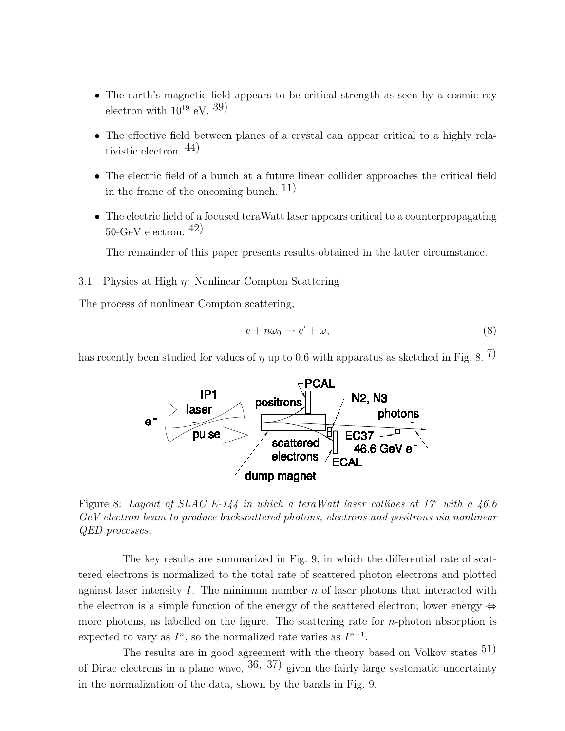- The earth's magnetic field appears to be critical strength as seen by a cosmic-ray electron with  $10^{19}$  eV.  $39)$
- The effective field between planes of a crystal can appear critical to a highly relativistic electron. 44)
- The electric field of a bunch at a future linear collider approaches the critical field in the frame of the oncoming bunch.  $11$ )
- The electric field of a focused teraWatt laser appears critical to a counterpropagating  $50$ -GeV electron.  $42)$

The remainder of this paper presents results obtained in the latter circumstance.

3.1 Physics at High  $\eta$ : Nonlinear Compton Scattering

The process of nonlinear Compton scattering,

$$
e + n\omega_0 \to e' + \omega,\tag{8}
$$

has recently been studied for values of  $\eta$  up to 0.6 with apparatus as sketched in Fig. 8. <sup>7</sup>)



Figure 8: Layout of SLAC E-144 in which a teraWatt laser collides at 1 $\mathcal{C}$  with a 46.6 GeV electron beam to produce backscattered photons, electrons and positrons via nonlinear QED processes.

The key results are summarized in Fig. 9, in which the differential rate of scattered electrons is normalized to the total rate of scattered photon electrons and plotted against laser intensity I. The minimum number  $n$  of laser photons that interacted with the electron is a simple function of the energy of the scattered electron; lower energy  $\Leftrightarrow$ more photons, as labelled on the figure. The scattering rate for  $n$ -photon absorption is expected to vary as  $I^n$ , so the normalized rate varies as  $I^{n-1}$ .

The results are in good agreement with the theory based on Volkov states  $51$ ) of Dirac electrons in a plane wave,  $36, 37$  given the fairly large systematic uncertainty in the normalization of the data, shown by the bands in Fig. 9.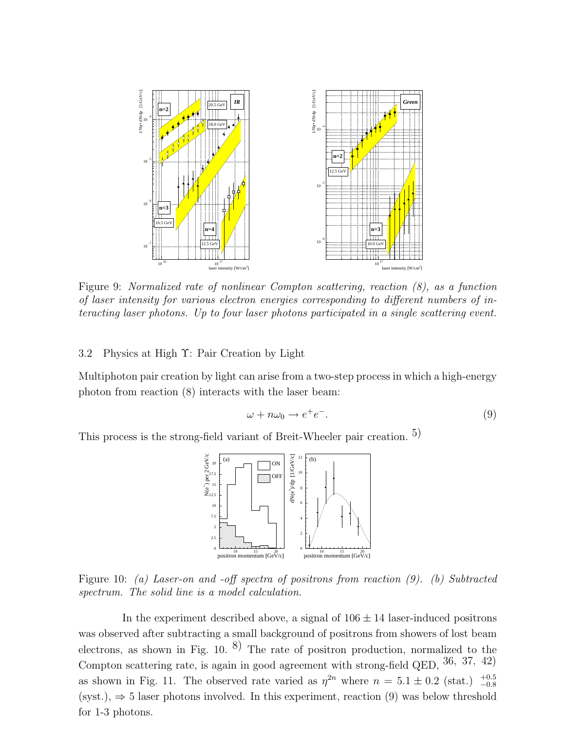

Figure 9: Normalized rate of nonlinear Compton scattering, reaction (8), as a function of laser intensity for various electron energies corresponding to different numbers of interacting laser photons. Up to four laser photons participated in a single scattering event.

### 3.2 Physics at High Υ: Pair Creation by Light

Multiphoton pair creation by light can arise from a two-step process in which a high-energy photon from reaction (8) interacts with the laser beam:

$$
\omega + n\omega_0 \to e^+e^-.
$$
 (9)

This process is the strong-field variant of Breit-Wheeler pair creation. 5)



Figure 10: (a) Laser-on and -off spectra of positrons from reaction (9). (b) Subtracted spectrum. The solid line is a model calculation.

In the experiment described above, a signal of  $106 \pm 14$  laser-induced positrons was observed after subtracting a small background of positrons from showers of lost beam electrons, as shown in Fig.  $10^{8}$ . The rate of positron production, normalized to the Compton scattering rate, is again in good agreement with strong-field QED, 36, 37, 42) as shown in Fig. 11. The observed rate varied as  $\eta^{2n}$  where  $n = 5.1 \pm 0.2$  (stat.)  $^{+0.5}_{-0.8}$  $(syst.)$ ,  $\Rightarrow$  5 laser photons involved. In this experiment, reaction (9) was below threshold for 1-3 photons.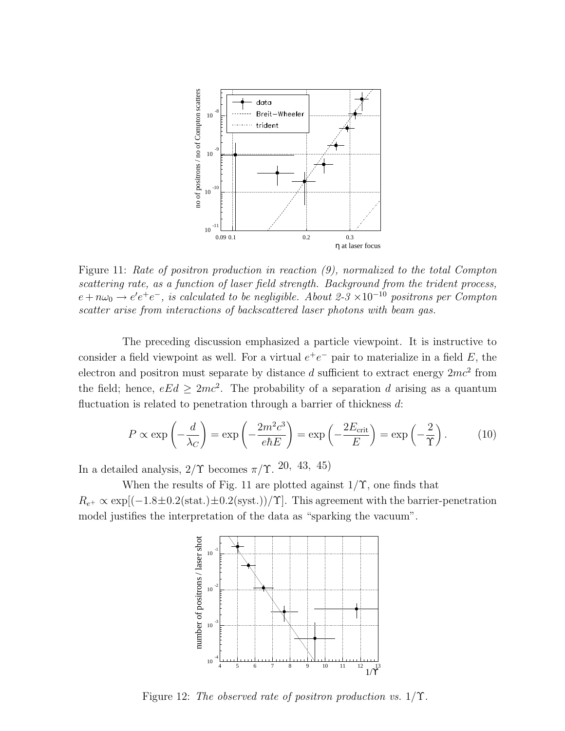

Figure 11: Rate of positron production in reaction (9), normalized to the total Compton scattering rate, as a function of laser field strength. Background from the trident process,  $e + n\omega_0 \rightarrow e'e^+e^-$ , is calculated to be negligible. About 2-3 ×10<sup>-10</sup> positrons per Compton scatter arise from interactions of backscattered laser photons with beam gas.

The preceding discussion emphasized a particle viewpoint. It is instructive to consider a field viewpoint as well. For a virtual  $e^+e^-$  pair to materialize in a field E, the electron and positron must separate by distance d sufficient to extract energy  $2mc^2$  from the field; hence,  $eEd \geq 2mc^2$ . The probability of a separation d arising as a quantum fluctuation is related to penetration through a barrier of thickness  $d$ :

$$
P \propto \exp\left(-\frac{d}{\lambda_C}\right) = \exp\left(-\frac{2m^2c^3}{e\hbar E}\right) = \exp\left(-\frac{2E_{\text{crit}}}{E}\right) = \exp\left(-\frac{2}{\Upsilon}\right). \tag{10}
$$

In a detailed analysis,  $2/\Upsilon$  becomes  $\pi/\Upsilon$ . 20, 43, 45)

When the results of Fig. 11 are plotted against  $1/\Upsilon$ , one finds that  $R_{e^+} \propto \exp[(-1.8 \pm 0.2 \text{(stat.)} \pm 0.2 \text{(syst.)})/\Upsilon]$ . This agreement with the barrier-penetration model justifies the interpretation of the data as "sparking the vacuum".



Figure 12: The observed rate of positron production vs.  $1/\Upsilon$ .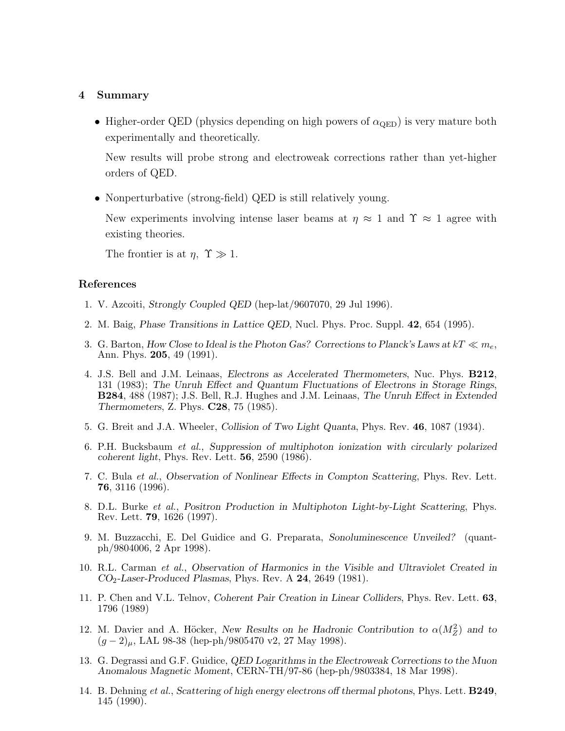#### 4 Summary

• Higher-order QED (physics depending on high powers of  $\alpha_{\text{QED}}$ ) is very mature both experimentally and theoretically.

New results will probe strong and electroweak corrections rather than yet-higher orders of QED.

• Nonperturbative (strong-field) QED is still relatively young.

New experiments involving intense laser beams at  $\eta \approx 1$  and  $\Upsilon \approx 1$  agree with existing theories.

The frontier is at  $\eta$ ,  $\Upsilon \gg 1$ .

# References

- 1. V. Azcoiti, Strongly Coupled QED (hep-lat/9607070, 29 Jul 1996).
- 2. M. Baig, Phase Transitions in Lattice QED, Nucl. Phys. Proc. Suppl. 42, 654 (1995).
- 3. G. Barton, How Close to Ideal is the Photon Gas? Corrections to Planck's Laws at  $kT \ll m_e$ , Ann. Phys. 205, 49 (1991).
- 4. J.S. Bell and J.M. Leinaas, Electrons as Accelerated Thermometers, Nuc. Phys. B212, 131 (1983); The Unruh Effect and Quantum Fluctuations of Electrons in Storage Rings, B284, 488 (1987); J.S. Bell, R.J. Hughes and J.M. Leinaas, The Unruh Effect in Extended Thermometers, Z. Phys. C28, 75 (1985).
- 5. G. Breit and J.A. Wheeler, Collision of Two Light Quanta, Phys. Rev. 46, 1087 (1934).
- 6. P.H. Bucksbaum et al., Suppression of multiphoton ionization with circularly polarized coherent light, Phys. Rev. Lett. 56, 2590 (1986).
- 7. C. Bula et al., Observation of Nonlinear Effects in Compton Scattering, Phys. Rev. Lett. 76, 3116 (1996).
- 8. D.L. Burke et al., Positron Production in Multiphoton Light-by-Light Scattering, Phys. Rev. Lett. 79, 1626 (1997).
- 9. M. Buzzacchi, E. Del Guidice and G. Preparata, Sonoluminescence Unveiled? (quantph/9804006, 2 Apr 1998).
- 10. R.L. Carman et al., Observation of Harmonics in the Visible and Ultraviolet Created in  $CO<sub>2</sub>$ -Laser-Produced Plasmas, Phys. Rev. A  $24$ , 2649 (1981).
- 11. P. Chen and V.L. Telnov, Coherent Pair Creation in Linear Colliders, Phys. Rev. Lett. 63, 1796 (1989)
- 12. M. Davier and A. Höcker, New Results on he Hadronic Contribution to  $\alpha(M_Z^2)$  and to  $(g-2)_{\mu}$ , LAL 98-38 (hep-ph/9805470 v2, 27 May 1998).
- 13. G. Degrassi and G.F. Guidice, QED Logarithms in the Electroweak Corrections to the Muon Anomalous Magnetic Moment, CERN-TH/97-86 (hep-ph/9803384, 18 Mar 1998).
- 14. B. Dehning et al., Scattering of high energy electrons off thermal photons, Phys. Lett. B249, 145 (1990).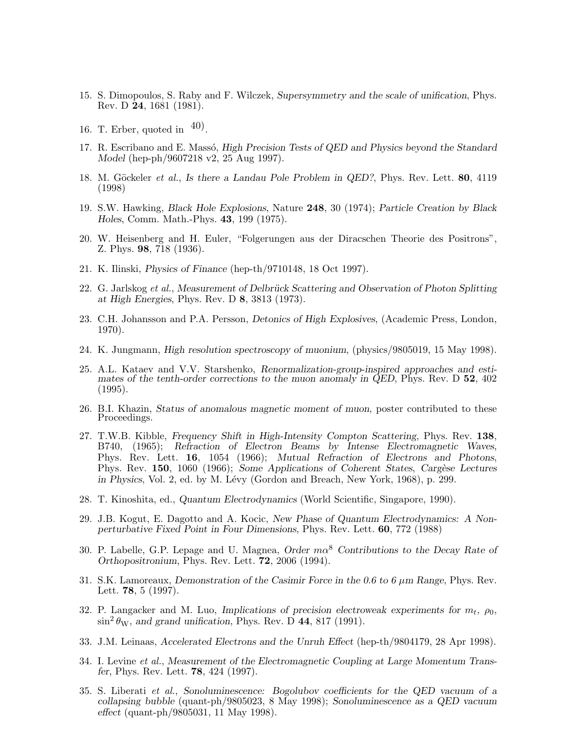- 15. S. Dimopoulos, S. Raby and F. Wilczek, Supersymmetry and the scale of unification, Phys. Rev. D 24, 1681 (1981).
- 16. T. Erber, quoted in  $\left(40\right)$ .
- 17. R. Escribano and E. Massó, High Precision Tests of QED and Physics beyond the Standard Model (hep-ph/9607218 v2, 25 Aug 1997).
- 18. M. Göckeler et al., Is there a Landau Pole Problem in QED?, Phys. Rev. Lett. 80, 4119 (1998)
- 19. S.W. Hawking, Black Hole Explosions, Nature 248, 30 (1974); Particle Creation by Black Holes, Comm. Math.-Phys. 43, 199 (1975).
- 20. W. Heisenberg and H. Euler, "Folgerungen aus der Diracschen Theorie des Positrons", Z. Phys. 98, 718 (1936).
- 21. K. Ilinski, Physics of Finance (hep-th/9710148, 18 Oct 1997).
- 22. G. Jarlskog et al., Measurement of Delbrück Scattering and Observation of Photon Splitting at High Energies, Phys. Rev. D 8, 3813 (1973).
- 23. C.H. Johansson and P.A. Persson, Detonics of High Explosives, (Academic Press, London, 1970).
- 24. K. Jungmann, High resolution spectroscopy of muonium, (physics/9805019, 15 May 1998).
- 25. A.L. Kataev and V.V. Starshenko, Renormalization-group-inspired approaches and estimates of the tenth-order corrections to the muon anomaly in QED, Phys. Rev. D 52, 402 (1995).
- 26. B.I. Khazin, Status of anomalous magnetic moment of muon, poster contributed to these Proceedings.
- 27. T.W.B. Kibble, Frequency Shift in High-Intensity Compton Scattering, Phys. Rev. 138, B740, (1965); Refraction of Electron Beams by Intense Electromagnetic Waves, Phys. Rev. Lett. 16, 1054 (1966); Mutual Refraction of Electrons and Photons, Phys. Rev. 150, 1060 (1966); Some Applications of Coherent States, Cargèse Lectures in Physics, Vol. 2, ed. by M. Lévy (Gordon and Breach, New York, 1968), p. 299.
- 28. T. Kinoshita, ed., Quantum Electrodynamics (World Scientific, Singapore, 1990).
- 29. J.B. Kogut, E. Dagotto and A. Kocic, New Phase of Quantum Electrodynamics: A Nonperturbative Fixed Point in Four Dimensions, Phys. Rev. Lett. 60, 772 (1988)
- 30. P. Labelle, G.P. Lepage and U. Magnea, Order  $m\alpha^8$  Contributions to the Decay Rate of Orthopositronium, Phys. Rev. Lett. 72, 2006 (1994).
- 31. S.K. Lamoreaux, Demonstration of the Casimir Force in the 0.6 to 6 µm Range, Phys. Rev. Lett. 78, 5 (1997).
- 32. P. Langacker and M. Luo, Implications of precision electroweak experiments for  $m_t$ ,  $\rho_0$ ,  $\sin^2 \theta_W$ , and grand unification, Phys. Rev. D 44, 817 (1991).
- 33. J.M. Leinaas, Accelerated Electrons and the Unruh Effect (hep-th/9804179, 28 Apr 1998).
- 34. I. Levine et al., Measurement of the Electromagnetic Coupling at Large Momentum Transfer, Phys. Rev. Lett. 78, 424 (1997).
- 35. S. Liberati et al., Sonoluminescence: Bogolubov coefficients for the QED vacuum of a collapsing bubble (quant-ph/9805023, 8 May 1998); Sonoluminescence as a QED vacuum effect (quant-ph/9805031, 11 May 1998).